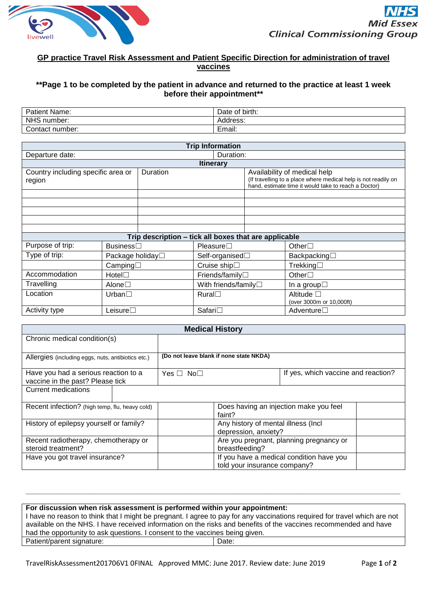

## **GP practice Travel Risk Assessment and Patient Specific Direction for administration of travel vaccines**

## **\*\*Page 1 to be completed by the patient in advance and returned to the practice at least 1 week before their appointment\*\***

| Patient Name:             | -<br>Date of birth:       |
|---------------------------|---------------------------|
| <b>NHS</b><br>number:     | Address:                  |
| $\sim$<br>Contact number: | -<br><b>Lmou</b><br>чнан. |

| <b>Trip Information</b>                                  |                    |  |                                                                                                                                                        |  |                                                |  |
|----------------------------------------------------------|--------------------|--|--------------------------------------------------------------------------------------------------------------------------------------------------------|--|------------------------------------------------|--|
| Departure date:<br>Duration:                             |                    |  |                                                                                                                                                        |  |                                                |  |
| <b>Itinerary</b>                                         |                    |  |                                                                                                                                                        |  |                                                |  |
| Country including specific area or<br>Duration<br>region |                    |  | Availability of medical help<br>(If travelling to a place where medical help is not readily on<br>hand, estimate time it would take to reach a Doctor) |  |                                                |  |
|                                                          |                    |  |                                                                                                                                                        |  |                                                |  |
|                                                          |                    |  |                                                                                                                                                        |  |                                                |  |
|                                                          |                    |  |                                                                                                                                                        |  |                                                |  |
|                                                          |                    |  |                                                                                                                                                        |  |                                                |  |
|                                                          |                    |  |                                                                                                                                                        |  |                                                |  |
| Trip description – tick all boxes that are applicable    |                    |  |                                                                                                                                                        |  |                                                |  |
| Purpose of trip:                                         | Business□          |  | Pleaseure                                                                                                                                              |  | Other $\square$                                |  |
| Type of trip:                                            | Package holiday□   |  | Self-organised $\Box$                                                                                                                                  |  | Backpacking $\Box$                             |  |
|                                                          | Camping            |  | Cruise ship□                                                                                                                                           |  | Trekking $\square$                             |  |
| Accommodation                                            | HoteI <sub>1</sub> |  | Friends/family□                                                                                                                                        |  | Other $\Box$                                   |  |
| Travelling                                               | Alone $\Box$       |  | With friends/family $\square$                                                                                                                          |  | In a group $\square$                           |  |
| Location                                                 | Urban $\Box$       |  | Rural                                                                                                                                                  |  | Altitude $\square$<br>(over 3000m or 10,000ft) |  |
| Activity type                                            | Leisure $\Box$     |  | Safari□                                                                                                                                                |  | Adventure $\Box$                               |  |

| <b>Medical History</b>                                                   |                                         |                                                                          |                                        |  |
|--------------------------------------------------------------------------|-----------------------------------------|--------------------------------------------------------------------------|----------------------------------------|--|
| Chronic medical condition(s)                                             |                                         |                                                                          |                                        |  |
|                                                                          |                                         |                                                                          |                                        |  |
| Allergies (including eggs, nuts, antibiotics etc.)                       | (Do not leave blank if none state NKDA) |                                                                          |                                        |  |
| Have you had a serious reaction to a<br>vaccine in the past? Please tick | Yes □ No□                               |                                                                          | If yes, which vaccine and reaction?    |  |
| <b>Current medications</b>                                               |                                         |                                                                          |                                        |  |
| Recent infection? (high temp, flu, heavy cold)                           |                                         | faint?                                                                   | Does having an injection make you feel |  |
| History of epilepsy yourself or family?                                  |                                         | depression, anxiety?                                                     | Any history of mental illness (Incl.   |  |
| Recent radiotherapy, chemotherapy or<br>steroid treatment?               |                                         | Are you pregnant, planning pregnancy or<br>breastfeeding?                |                                        |  |
| Have you got travel insurance?                                           |                                         | If you have a medical condition have you<br>told your insurance company? |                                        |  |

| had the opportunity to ask questions. I consent to the vaccines being given. |  |  |  |
|------------------------------------------------------------------------------|--|--|--|
|                                                                              |  |  |  |
|                                                                              |  |  |  |

**\_\_\_\_\_\_\_\_\_\_\_\_\_\_\_\_\_\_\_\_\_\_\_\_\_\_\_\_\_\_\_\_\_\_\_\_\_\_\_\_\_\_\_\_\_\_\_\_\_\_\_\_\_\_\_\_\_\_\_\_\_\_\_\_\_\_\_\_\_\_\_\_\_\_\_\_\_\_\_\_\_\_\_\_\_\_\_\_\_\_\_\_\_\_**